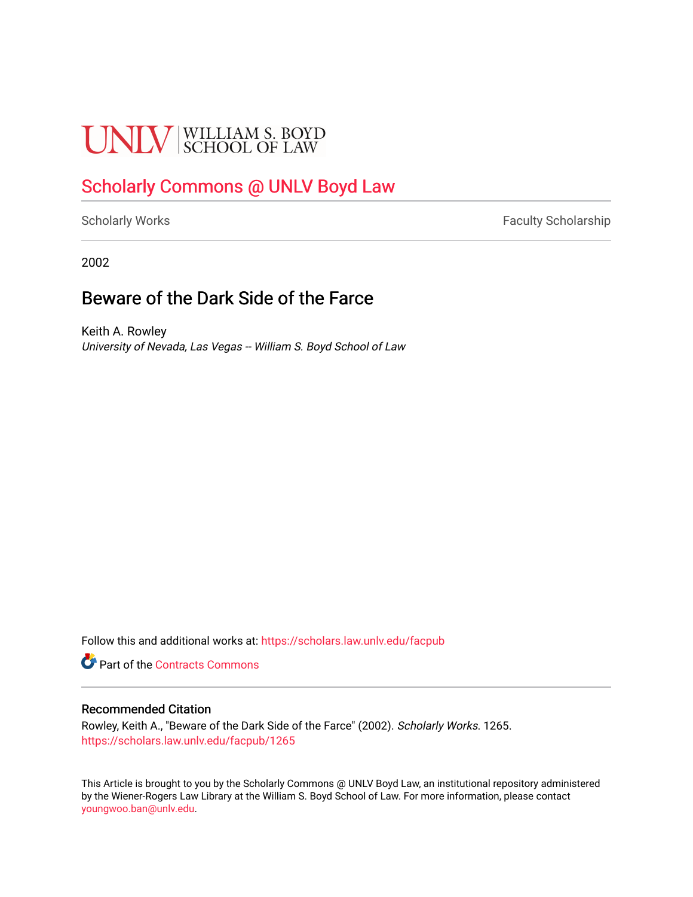# **UNLV** SCHOOL OF LAW

### [Scholarly Commons @ UNLV Boyd Law](https://scholars.law.unlv.edu/)

[Scholarly Works](https://scholars.law.unlv.edu/facpub) **Faculty Scholarship** Faculty Scholarship

2002

### Beware of the Dark Side of the Farce

Keith A. Rowley University of Nevada, Las Vegas -- William S. Boyd School of Law

Follow this and additional works at: [https://scholars.law.unlv.edu/facpub](https://scholars.law.unlv.edu/facpub?utm_source=scholars.law.unlv.edu%2Ffacpub%2F1265&utm_medium=PDF&utm_campaign=PDFCoverPages)

**Part of the [Contracts Commons](http://network.bepress.com/hgg/discipline/591?utm_source=scholars.law.unlv.edu%2Ffacpub%2F1265&utm_medium=PDF&utm_campaign=PDFCoverPages)** 

#### Recommended Citation

Rowley, Keith A., "Beware of the Dark Side of the Farce" (2002). Scholarly Works. 1265. [https://scholars.law.unlv.edu/facpub/1265](https://scholars.law.unlv.edu/facpub/1265?utm_source=scholars.law.unlv.edu%2Ffacpub%2F1265&utm_medium=PDF&utm_campaign=PDFCoverPages) 

This Article is brought to you by the Scholarly Commons @ UNLV Boyd Law, an institutional repository administered by the Wiener-Rogers Law Library at the William S. Boyd School of Law. For more information, please contact [youngwoo.ban@unlv.edu.](mailto:youngwoo.ban@unlv.edu)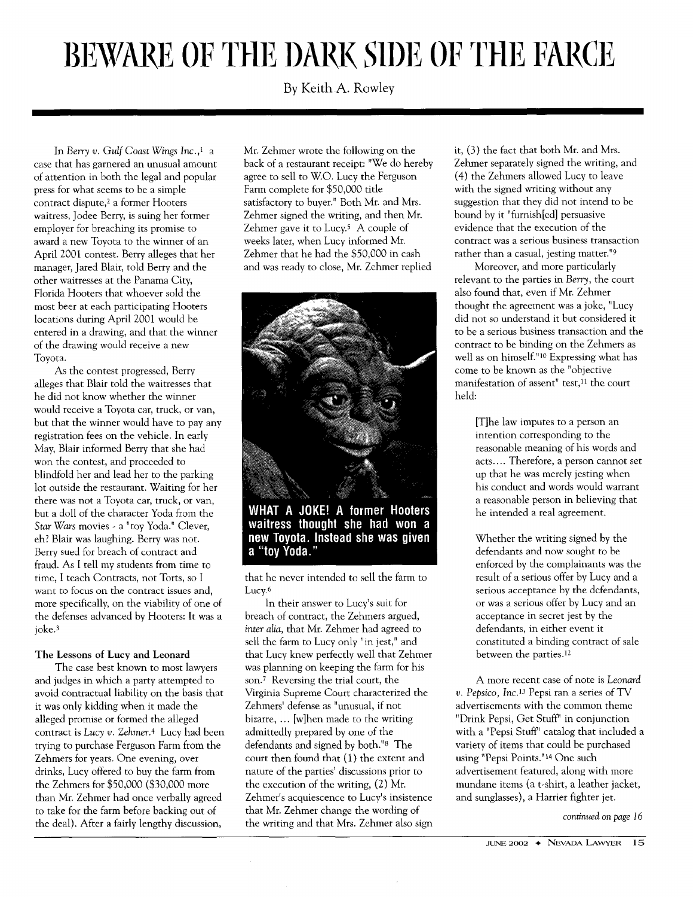## BEWARE OF THE DARK SIDE OF THE FARCE

**By** Keith **A.** Rowley

In *Berry v. Gulf Coast* Wings *Inc.,'* a case that has garnered an unusual amount of attention in both the legal and popular press for what seems to be a simple contract dispute,2 a former Hooters waitress, Jodee Berry, is suing her former employer for breaching its promise to award a new Toyota to the winner of an April 2001 contest. Berry alleges that her manager, Jared Blair, told Berry and the other waitresses at the Panama City, Florida Hooters that whoever sold the most beer at each participating Hooters locations during April 2001 would be entered in a drawing, and that the winner of the drawing would receive a new Toyota.

As the contest progressed, Berry alleges that Blair told the waitresses that he did not know whether the winner would receive a Toyota car, truck, or van, but that the winner would have to pay any registration fees on the vehicle. In early May, Blair informed Berry that she had won the contest, and proceeded to blindfold her and lead her to the parking lot outside the restaurant. Waiting for her there was not a Toyota car, truck, or van, but a doll of the character Yoda from the *Star* Wars movies - a "toy Yoda." Clever, eh? Blair was laughing. Berry was not. Berry sued for breach of contract and fraud. As I tell my students from time to time, I teach Contracts, not Torts, so I want to focus on the contract issues and, more specifically, on the viability of one of the defenses advanced by Hooters: It was a joke.<sup>3</sup>

#### The Lessons of Lucy and Leonard

The case best known to most lawyers and judges in which a party attempted to avoid contractual liability on the basis that it was only kidding when it made the alleged promise or formed the alleged contract is Lucy *v. Zehmer.4* Lucy had been trying to purchase Ferguson Farm from the Zehmers for years. One evening, over drinks, Lucy offered to buy the farm from the Zehmers for \$50,000 (\$30,000 more than Mr. Zehmer had once verbally agreed to take for the farm before backing out of the deal). After a fairly lengthy discussion,

Mr. Zehmer wrote the following on the back of a restaurant receipt: "We do hereby agree to sell to W.O. Lucy the Ferguson Farm complete for \$50,000 title satisfactory to buyer." Both Mr. and Mrs. Zehmer signed the writing, and then Mr. Zehmer gave it to Lucy.<sup>5</sup> A couple of weeks later, when Lucy informed Mr. Zehmer that he had the \$50,000 in cash and was ready to close, Mr. Zehmer replied



WHAT A JOKE! A former Hooters waitress thought she had won a new Toyota, Instead she was given a "tov Yoda.'

that he never intended to sell the farm to Lucy.<sup>6</sup>

In their answer to Lucy's suit for breach of contract, the Zehmers argued, *inter alia,* that Mr. Zehmer had agreed to sell the farm to Lucy only "in jest," and that Lucy knew perfectly well that Zehmer was planning on keeping the farm for his son.<sup>7</sup> Reversing the trial court, the Virginia Supreme Court characterized the Zehmers' defense as "unusual, if not bizarre, ... [w]hen made to the writing admittedly prepared by one of the defendants and signed by both."s The court then found that (1) the extent and nature of the parties' discussions prior to the execution of the writing, (2) Mr. Zehmer's acquiescence to Lucy's insistence that Mr. Zehmer change the wording of the writing and that Mrs. Zehmer also sign

it, (3) the fact that both Mr. and Mrs. Zehmer separately signed the writing, and (4) the Zehmers allowed Lucy to leave with the signed writing without any suggestion that they did not intend to be bound by it "fumish[ed] persuasive evidence that the execution of the contract was a serious business transaction rather than a casual, jesting matter."<sup>9</sup>

Moreover, and more particularly relevant to the parties in Berry, the court also found that, even if Mr. Zehmer thought the agreement was a joke, "Lucy did not so understand it but considered it to be a serious business transaction and the contract to be binding on the Zehmers as well as on himself." 10 Expressing what has come to be known as the "objective manifestation of assent" test,<sup>11</sup> the court held:

[T]he law imputes to a person an intention corresponding to the reasonable meaning of his words and acts.... Therefore, a person cannot set up that he was merely jesting when his conduct and words would warrant a reasonable person in believing that he intended a real agreement.

Whether the writing signed by the defendants and now sought to be enforced by the complainants was the result of a serious offer by Lucy and a serious acceptance by the defendants, or was a serious offer by Lucy and an acceptance in secret jest by the defendants, in either event it constituted a binding contract of sale between the parties.12

A more recent case of note is Leonard *v. Pepsico, Inc.13* Pepsi ran a series of TV advertisements with the common theme "Drink Pepsi, Get Stuff' in conjunction with a "Pepsi Stuff' catalog that included a variety of items that could be purchased using "Pepsi Points."<sup>14</sup> One such advertisement featured, along with more mundane items (a t-shirt, a leather jacket, and sunglasses), a Harrier fighter jet.

*continued on page 16*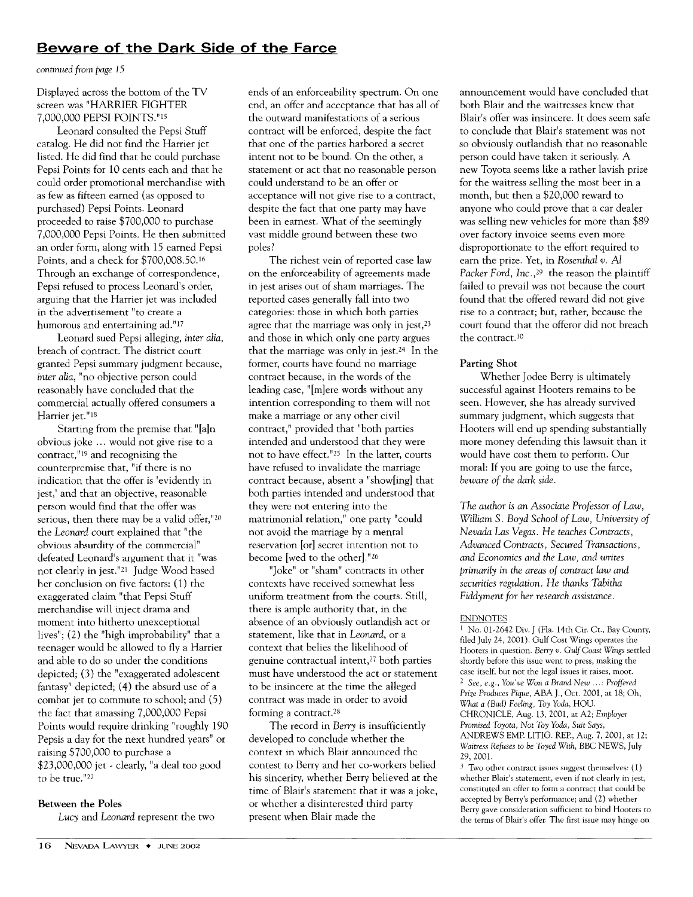#### **Beware of the Dark Side of the Farce**

*continued from page 15*

Displayed across the bottom of the TV screen was "HARRIER FIGHTER 7,000,000 PEPSI POINTS."'5

Leonard consulted the Pepsi Stuff catalog. He did not find the Harrier jet listed. He did find that he could purchase Pepsi Points for 10 cents each and that he could order promotional merchandise with as few as fifteen earned (as opposed to purchased) Pepsi Points. Leonard proceeded to raise \$700,000 to purchase 7,000,000 Pepsi Points. He then submitted an order form, along with 15 earned Pepsi Points, and a check for \$700,008.50.16 Through an exchange of correspondence, Pepsi refused to process Leonard's order, arguing that the Harrier jet was included in the advertisement "to create a humorous and entertaining ad."17

Leonard sued Pepsi alleging, *inter alia,* breach of contract. The district court granted Pepsi summary judgment because, inter *alia,* "no objective person could reasonably have concluded that the commercial actually offered consumers a Harrier jet."18

Starting from the premise that "[a]n obvious joke ... would not give rise to a contract," **19** and recognizing the counterpremise that, "if there is no indication that the offer is 'evidently in jest,' and that an objective, reasonable person would find that the offer was serious, then there may be a valid offer,"20 the *Leonard* court explained that "the obvious absurdity of the commercial" defeated Leonard's argument that it "was not clearly in jest."2 1 Judge Wood based her conclusion on five factors: (1) the exaggerated claim "that Pepsi Stuff merchandise will inject drama and moment into hitherto unexceptional lives"; (2) the "high improbability" that a teenager would be allowed to fly a Harrier and able to do so under the conditions depicted; (3) the "exaggerated adolescent fantasy" depicted; (4) the absurd use of a combat jet to commute to school; and (5) the fact that amassing 7,000,000 Pepsi Points would require drinking "roughly 190 Pepsis a day for the next hundred years" or raising \$700,000 to purchase a \$23,000,000 jet - clearly, "a deal too good to be true."<sup>22</sup>

#### Between the Poles

*Lucy* and *Leonard* represent the two

ends of an enforceability spectrum. On one end, an offer and acceptance that has all of the outward manifestations of a serious contract will be enforced, despite the fact that one of the parties harbored a secret intent not to be bound. On the other, a statement or act that no reasonable person could understand to be an offer or acceptance will not give rise to a contract, despite the fact that one party may have been in earnest. What of the seemingly vast middle ground between these two poles?

The richest vein of reported case law on the enforceability of agreements made in jest arises out of sham marriages. The reported cases generally fall into two categories: those in which both parties agree that the marriage was only in jest, $2<sup>3</sup>$ and those in which only one party argues that the marriage was only in jest.24 In the former, courts have found no marriage contract because, in the words of the leading case, "[m]ere words without any intention corresponding to them will not make a marriage or any other civil contract," provided that "both parties intended and understood that they were not to have effect."25 In the latter, courts have refused to invalidate the marriage contract because, absent a "show[ing] that both parties intended and understood that they were not entering into the matrimonial relation," one party "could not avoid the marriage by a mental reservation [or] secret intention not to become [wed to the other]."26

"Joke" or "sham" contracts in other contexts have received somewhat less uniform treatment from the courts. Still, there is ample authority that, in the absence of an obviously outlandish act or statement, like that in *Leonard,* or a context that belies the likelihood of genuine contractual intent,<sup>27</sup> both parties must have understood the act or statement to be insincere at the time the alleged contract was made in order to avoid forming a contract.<sup>28</sup>

The record in Berry is insufficiently developed to conclude whether the context in which Blair announced the contest to Berry and her co-workers belied his sincerity, whether Berry believed at the time of Blair's statement that it was a joke, or whether a disinterested third party present when Blair made the

announcement would have concluded that both Blair and the waitresses knew that Blair's offer was insincere. It does seem safe to conclude that Blair's statement was not so obviously outlandish that no reasonable person could have taken it seriously. A new Toyota seems like a rather lavish prize for the waitress selling the most beer in a month, but then a \$20,000 reward to anyone who could prove that a car dealer was selling new vehicles for more than \$89 over factory invoice seems even more disproportionate to the effort required to earn the prize. Yet, in Rosenthal *v. Al Packer* Ford, *Inc.,29* the reason the plaintiff failed to prevail was not because the court found that the offered reward did not give rise to a contract; but, rather, because the court found that the offeror did not breach the contract.<sup>30</sup>

#### Parting Shot

Whether Jodee Berry is ultimately successful against Hooters remains to be seen. However, she has already survived summary judgment, which suggests that Hooters will end up spending substantially more money defending this lawsuit than it would have cost them to perform. Our moral: If you are going to use the farce, *beware of the dark side.*

*The author is an Associate Professor of Law, William S. Boyd School of Law, University of Nevada Las Vegas. He teaches Contracts,* Advanced Contracts, Secured Transactions, *and Economics and the* Law, and writes *primarily in the areas of* contract *law and securities regulation.* He *thanks Tabitha Fiddyment* for her *research assistance.*

#### ENDNOTES

**I** No. 01-2642 Div. **J** (Fla. 14th Cir. Ct., Bay County, filed July 24, 2001). Gulf Cost Wings operates the Hooters in question. *Berry* v. Gulf *Coast* Wings settled shortly before this issue went to press, making the case itself, but not the legal issues it raises, moot. *2 See, e.g.,* You've Won *a* Brand New *... :* Proffered Prize Produces Pique, ABA *J.,* Oct. **2001,** at **18;** Oh, What *a (Bad)* Feeling, *Toy* Yoda, HOU. CHRONICLE, Aug. 13, 2001, at **A2;** Employer Promised Toyota, *Not Toy* Yoda, Suit Says, ANDREWS EMP. LITIG. REP., Aug. 7, 2001, at 12; *Waitress Refuses to be Toyed* With, BBC NEWS, July 29, 2001.

**3** Two other contract issues suggest themselves: **(1)** whether Blair's statement, even if not clearly in jest, constituted an offer to form a contract that could be accepted by Berry's performance; and (2) whether Berry gave consideration sufficient to bind Hooters to the terms of Blair's offer. The first issue may hinge on